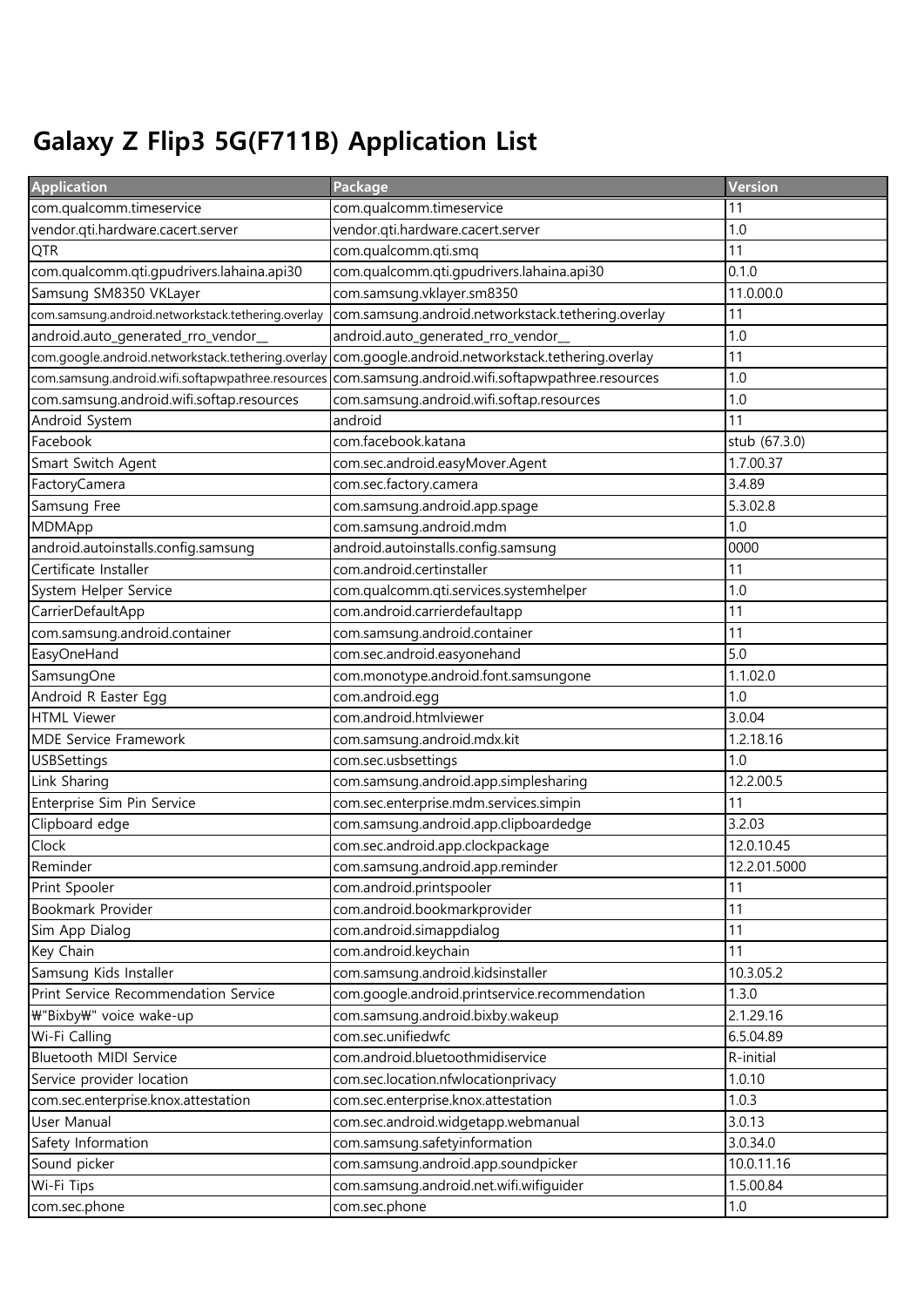## Galaxy Z Flip3 5G(F711B) Application List

| <b>Application</b>                                 | Package                                            | Version       |
|----------------------------------------------------|----------------------------------------------------|---------------|
| com.qualcomm.timeservice                           | com.qualcomm.timeservice                           | 11            |
| vendor.qti.hardware.cacert.server                  | vendor.qti.hardware.cacert.server                  | 1.0           |
| QTR                                                | com.qualcomm.qti.smq                               | 11            |
| com.qualcomm.qti.qpudrivers.lahaina.api30          | com.qualcomm.qti.gpudrivers.lahaina.api30          | 0.1.0         |
| Samsung SM8350 VKLayer                             | com.samsung.vklayer.sm8350                         | 11.0.00.0     |
| com.samsung.android.networkstack.tethering.overlay | com.samsung.android.networkstack.tethering.overlay | 11            |
| android.auto_generated_rro_vendor_                 | android.auto_generated_rro_vendor_                 | 1.0           |
| com.google.android.networkstack.tethering.overlay  | com.google.android.networkstack.tethering.overlay  | 11            |
| com.samsung.android.wifi.softapwpathree.resources  | com.samsung.android.wifi.softapwpathree.resources  | 1.0           |
| com.samsung.android.wifi.softap.resources          | com.samsung.android.wifi.softap.resources          | 1.0           |
| Android System                                     | android                                            | 11            |
| Facebook                                           | com.facebook.katana                                | stub (67.3.0) |
| Smart Switch Agent                                 | com.sec.android.easyMover.Agent                    | 1.7.00.37     |
| FactoryCamera                                      | com.sec.factory.camera                             | 3.4.89        |
| Samsung Free                                       | com.samsung.android.app.spage                      | 5.3.02.8      |
| MDMApp                                             | com.samsung.android.mdm                            | 1.0           |
| android.autoinstalls.config.samsung                | android.autoinstalls.config.samsung                | 0000          |
| Certificate Installer                              | com.android.certinstaller                          | 11            |
| System Helper Service                              | com.qualcomm.qti.services.systemhelper             | 1.0           |
| CarrierDefaultApp                                  | com.android.carrierdefaultapp                      | 11            |
| com.samsung.android.container                      | com.samsung.android.container                      | 11            |
| EasyOneHand                                        | com.sec.android.easyonehand                        | 5.0           |
| SamsungOne                                         | com.monotype.android.font.samsungone               | 1.1.02.0      |
| Android R Easter Egg                               | com.android.egg                                    | 1.0           |
| <b>HTML Viewer</b>                                 | com.android.htmlviewer                             | 3.0.04        |
| <b>MDE Service Framework</b>                       | com.samsung.android.mdx.kit                        | 1.2.18.16     |
| <b>USBSettings</b>                                 | com.sec.usbsettings                                | 1.0           |
| Link Sharing                                       | com.samsung.android.app.simplesharing              | 12.2.00.5     |
| Enterprise Sim Pin Service                         | com.sec.enterprise.mdm.services.simpin             | 11            |
| Clipboard edge                                     | com.samsung.android.app.clipboardedge              | 3.2.03        |
| Clock                                              | com.sec.android.app.clockpackage                   | 12.0.10.45    |
| Reminder                                           | com.samsung.android.app.reminder                   | 12.2.01.5000  |
| Print Spooler                                      | com.android.printspooler                           | 11            |
| Bookmark Provider                                  | com.android.bookmarkprovider                       | 11            |
| Sim App Dialog                                     | com.android.simappdialog                           | 11            |
| Key Chain                                          | com.android.keychain                               | 11            |
| Samsung Kids Installer                             | com.samsung.android.kidsinstaller                  | 10.3.05.2     |
| Print Service Recommendation Service               | com.google.android.printservice.recommendation     | 1.3.0         |
| ₩"Bixby₩" voice wake-up                            | com.samsung.android.bixby.wakeup                   | 2.1.29.16     |
| Wi-Fi Calling                                      | com.sec.unifiedwfc                                 | 6.5.04.89     |
| Bluetooth MIDI Service                             | com.android.bluetoothmidiservice                   | R-initial     |
| Service provider location                          | com.sec.location.nfwlocationprivacy                | 1.0.10        |
| com.sec.enterprise.knox.attestation                | com.sec.enterprise.knox.attestation                | 1.0.3         |
| User Manual                                        | com.sec.android.widgetapp.webmanual                | 3.0.13        |
| Safety Information                                 | com.samsung.safetyinformation                      | 3.0.34.0      |
| Sound picker                                       | com.samsung.android.app.soundpicker                | 10.0.11.16    |
| Wi-Fi Tips                                         | com.samsung.android.net.wifi.wifiguider            | 1.5.00.84     |
| com.sec.phone                                      | com.sec.phone                                      | 1.0           |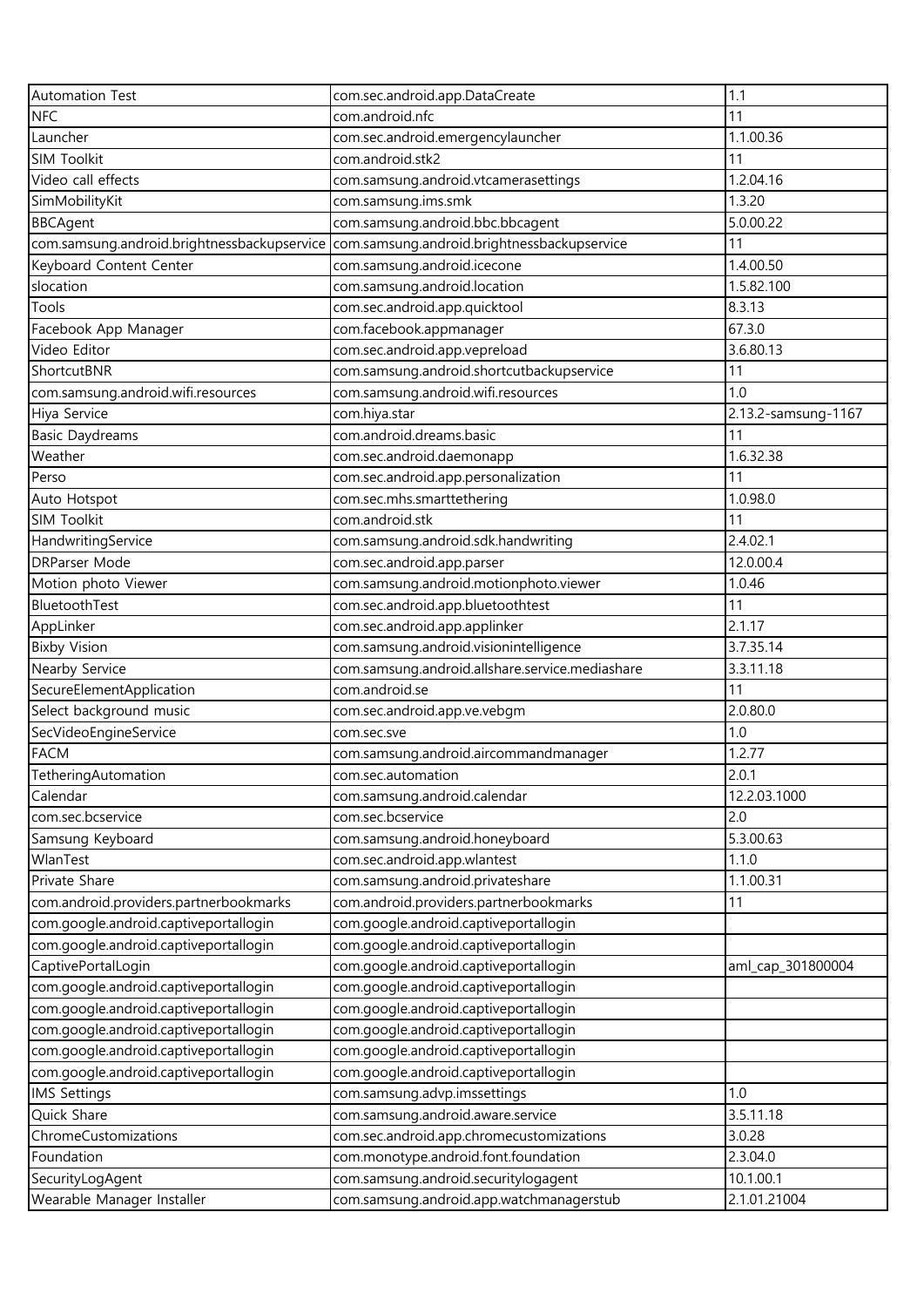| <b>Automation Test</b>                      | com.sec.android.app.DataCreate                  | 1.1                 |
|---------------------------------------------|-------------------------------------------------|---------------------|
| <b>NFC</b>                                  | com.android.nfc                                 | 11                  |
| Launcher                                    | com.sec.android.emergencylauncher               | 1.1.00.36           |
| SIM Toolkit                                 | com.android.stk2                                | 11                  |
| Video call effects                          | com.samsung.android.vtcamerasettings            | 1.2.04.16           |
| SimMobilityKit                              | com.samsung.ims.smk                             | 1.3.20              |
| <b>BBCAgent</b>                             | com.samsung.android.bbc.bbcagent                | 5.0.00.22           |
| com.samsung.android.brightnessbackupservice | com.samsung.android.brightnessbackupservice     | 11                  |
| Keyboard Content Center                     | com.samsung.android.icecone                     | 1.4.00.50           |
| slocation                                   | com.samsung.android.location                    | 1.5.82.100          |
| Tools                                       | com.sec.android.app.quicktool                   | 8.3.13              |
| Facebook App Manager                        | com.facebook.appmanager                         | 67.3.0              |
| Video Editor                                | com.sec.android.app.vepreload                   | 3.6.80.13           |
| ShortcutBNR                                 | com.samsung.android.shortcutbackupservice       | 11                  |
| com.samsung.android.wifi.resources          | com.samsung.android.wifi.resources              | 1.0                 |
| Hiya Service                                | com.hiya.star                                   | 2.13.2-samsung-1167 |
| <b>Basic Daydreams</b>                      | com.android.dreams.basic                        | 11                  |
| Weather                                     | com.sec.android.daemonapp                       | 1.6.32.38           |
| Perso                                       | com.sec.android.app.personalization             | 11                  |
| Auto Hotspot                                | com.sec.mhs.smarttethering                      | 1.0.98.0            |
| <b>SIM Toolkit</b>                          | com.android.stk                                 | 11                  |
| HandwritingService                          | com.samsung.android.sdk.handwriting             | 2.4.02.1            |
| <b>DRParser Mode</b>                        | com.sec.android.app.parser                      | 12.0.00.4           |
| Motion photo Viewer                         | com.samsung.android.motionphoto.viewer          | 1.0.46              |
| BluetoothTest                               | com.sec.android.app.bluetoothtest               | 11                  |
| AppLinker                                   | com.sec.android.app.applinker                   | 2.1.17              |
| <b>Bixby Vision</b>                         | com.samsung.android.visionintelligence          | 3.7.35.14           |
| Nearby Service                              | com.samsung.android.allshare.service.mediashare | 3.3.11.18           |
| SecureElementApplication                    | com.android.se                                  | 11                  |
| Select background music                     | com.sec.android.app.ve.vebgm                    | 2.0.80.0            |
| SecVideoEngineService                       | com.sec.sve                                     | 1.0                 |
| <b>FACM</b>                                 | com.samsung.android.aircommandmanager           | 1.2.77              |
| TetheringAutomation                         | com.sec.automation                              | 2.0.1               |
| Calendar                                    | com.samsung.android.calendar                    | 12.2.03.1000        |
| com.sec.bcservice                           | com.sec.bcservice                               | 2.0                 |
| Samsung Keyboard                            | com.samsung.android.honeyboard                  | 5.3.00.63           |
| WlanTest                                    | com.sec.android.app.wlantest                    | 1.1.0               |
| Private Share                               | com.samsung.android.privateshare                | 1.1.00.31           |
| com.android.providers.partnerbookmarks      | com.android.providers.partnerbookmarks          | 11                  |
| com.google.android.captiveportallogin       | com.google.android.captiveportallogin           |                     |
| com.google.android.captiveportallogin       | com.google.android.captiveportallogin           |                     |
| CaptivePortalLogin                          | com.google.android.captiveportallogin           | aml_cap_301800004   |
| com.google.android.captiveportallogin       | com.google.android.captiveportallogin           |                     |
| com.google.android.captiveportallogin       | com.google.android.captiveportallogin           |                     |
| com.google.android.captiveportallogin       | com.google.android.captiveportallogin           |                     |
| com.google.android.captiveportallogin       | com.google.android.captiveportallogin           |                     |
| com.google.android.captiveportallogin       | com.google.android.captiveportallogin           |                     |
| <b>IMS Settings</b>                         | com.samsung.advp.imssettings                    | 1.0                 |
| Quick Share                                 | com.samsung.android.aware.service               | 3.5.11.18           |
| ChromeCustomizations                        | com.sec.android.app.chromecustomizations        | 3.0.28              |
| Foundation                                  | com.monotype.android.font.foundation            | 2.3.04.0            |
| SecurityLogAgent                            | com.samsung.android.securitylogagent            | 10.1.00.1           |
| Wearable Manager Installer                  | com.samsung.android.app.watchmanagerstub        | 2.1.01.21004        |
|                                             |                                                 |                     |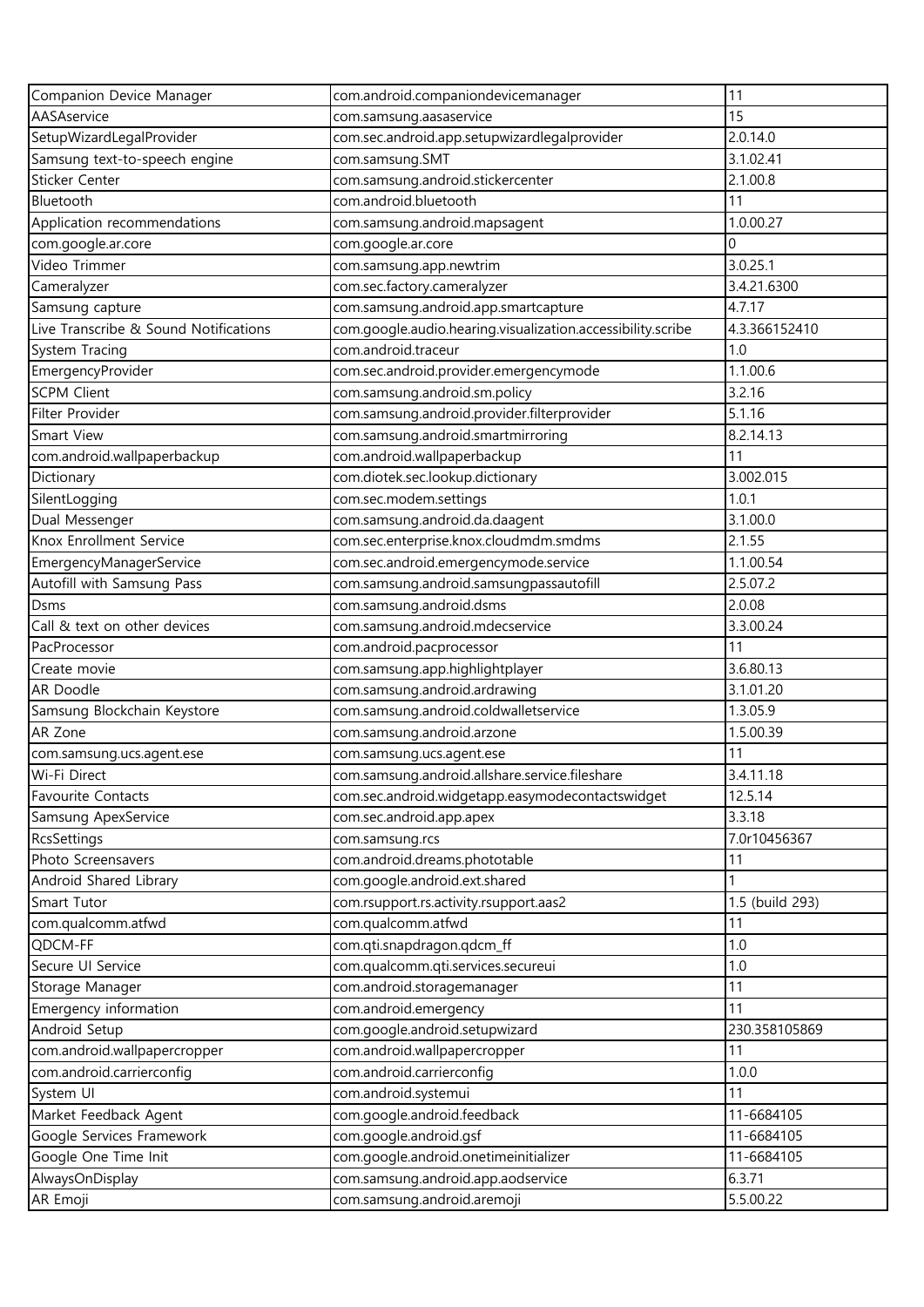| Companion Device Manager              | com.android.companiondevicemanager                          | 11              |
|---------------------------------------|-------------------------------------------------------------|-----------------|
| AASAservice                           | com.samsung.aasaservice                                     | 15              |
| SetupWizardLegalProvider              | com.sec.android.app.setupwizardlegalprovider                | 2.0.14.0        |
| Samsung text-to-speech engine         | com.samsung.SMT                                             | 3.1.02.41       |
| Sticker Center                        | com.samsung.android.stickercenter                           | 2.1.00.8        |
| Bluetooth                             | com.android.bluetooth                                       | 11              |
| Application recommendations           | com.samsung.android.mapsagent                               | 1.0.00.27       |
| com.google.ar.core                    | com.google.ar.core                                          | 0               |
| Video Trimmer                         | com.samsung.app.newtrim                                     | 3.0.25.1        |
| Cameralyzer                           | com.sec.factory.cameralyzer                                 | 3.4.21.6300     |
| Samsung capture                       | com.samsung.android.app.smartcapture                        | 4.7.17          |
| Live Transcribe & Sound Notifications | com.google.audio.hearing.visualization.accessibility.scribe | 4.3.366152410   |
| System Tracing                        | com.android.traceur                                         | 1.0             |
| EmergencyProvider                     | com.sec.android.provider.emergencymode                      | 1.1.00.6        |
| <b>SCPM Client</b>                    | com.samsung.android.sm.policy                               | 3.2.16          |
| Filter Provider                       | com.samsung.android.provider.filterprovider                 | 5.1.16          |
| Smart View                            | com.samsung.android.smartmirroring                          | 8.2.14.13       |
| com.android.wallpaperbackup           | com.android.wallpaperbackup                                 | 11              |
| Dictionary                            | com.diotek.sec.lookup.dictionary                            | 3.002.015       |
| SilentLogging                         | com.sec.modem.settings                                      | 1.0.1           |
| Dual Messenger                        | com.samsung.android.da.daagent                              | 3.1.00.0        |
| Knox Enrollment Service               | com.sec.enterprise.knox.cloudmdm.smdms                      | 2.1.55          |
| EmergencyManagerService               | com.sec.android.emergencymode.service                       | 1.1.00.54       |
| Autofill with Samsung Pass            | com.samsung.android.samsungpassautofill                     | 2.5.07.2        |
| <b>Dsms</b>                           | com.samsung.android.dsms                                    | 2.0.08          |
| Call & text on other devices          | com.samsung.android.mdecservice                             | 3.3.00.24       |
| PacProcessor                          | com.android.pacprocessor                                    | 11              |
| Create movie                          | com.samsung.app.highlightplayer                             | 3.6.80.13       |
| AR Doodle                             | com.samsung.android.ardrawing                               | 3.1.01.20       |
| Samsung Blockchain Keystore           | com.samsung.android.coldwalletservice                       | 1.3.05.9        |
| AR Zone                               | com.samsung.android.arzone                                  | 1.5.00.39       |
| com.samsung.ucs.agent.ese             | com.samsung.ucs.agent.ese                                   | 11              |
| Wi-Fi Direct                          | com.samsung.android.allshare.service.fileshare              | 3.4.11.18       |
| <b>Favourite Contacts</b>             | com.sec.android.widgetapp.easymodecontactswidget            | 12.5.14         |
| Samsung ApexService                   | com.sec.android.app.apex                                    | 3.3.18          |
| <b>RcsSettings</b>                    | com.samsung.rcs                                             | 7.0r10456367    |
| Photo Screensavers                    | com.android.dreams.phototable                               | 11              |
| Android Shared Library                | com.google.android.ext.shared                               |                 |
| Smart Tutor                           | com.rsupport.rs.activity.rsupport.aas2                      | 1.5 (build 293) |
| com.qualcomm.atfwd                    | com.qualcomm.atfwd                                          | 11              |
| QDCM-FF                               | com.qti.snapdragon.qdcm_ff                                  | 1.0             |
| Secure UI Service                     | com.qualcomm.qti.services.secureui                          | 1.0             |
| Storage Manager                       | com.android.storagemanager                                  | 11              |
| Emergency information                 | com.android.emergency                                       | 11              |
| Android Setup                         | com.google.android.setupwizard                              | 230.358105869   |
| com.android.wallpapercropper          | com.android.wallpapercropper                                | 11              |
| com.android.carrierconfig             | com.android.carrierconfig                                   | 1.0.0           |
| System UI                             | com.android.systemui                                        | 11              |
| Market Feedback Agent                 | com.google.android.feedback                                 | 11-6684105      |
| Google Services Framework             | com.google.android.gsf                                      | 11-6684105      |
| Google One Time Init                  | com.google.android.onetimeinitializer                       | 11-6684105      |
| AlwaysOnDisplay                       | com.samsung.android.app.aodservice                          | 6.3.71          |
| AR Emoji                              | com.samsung.android.aremoji                                 | 5.5.00.22       |
|                                       |                                                             |                 |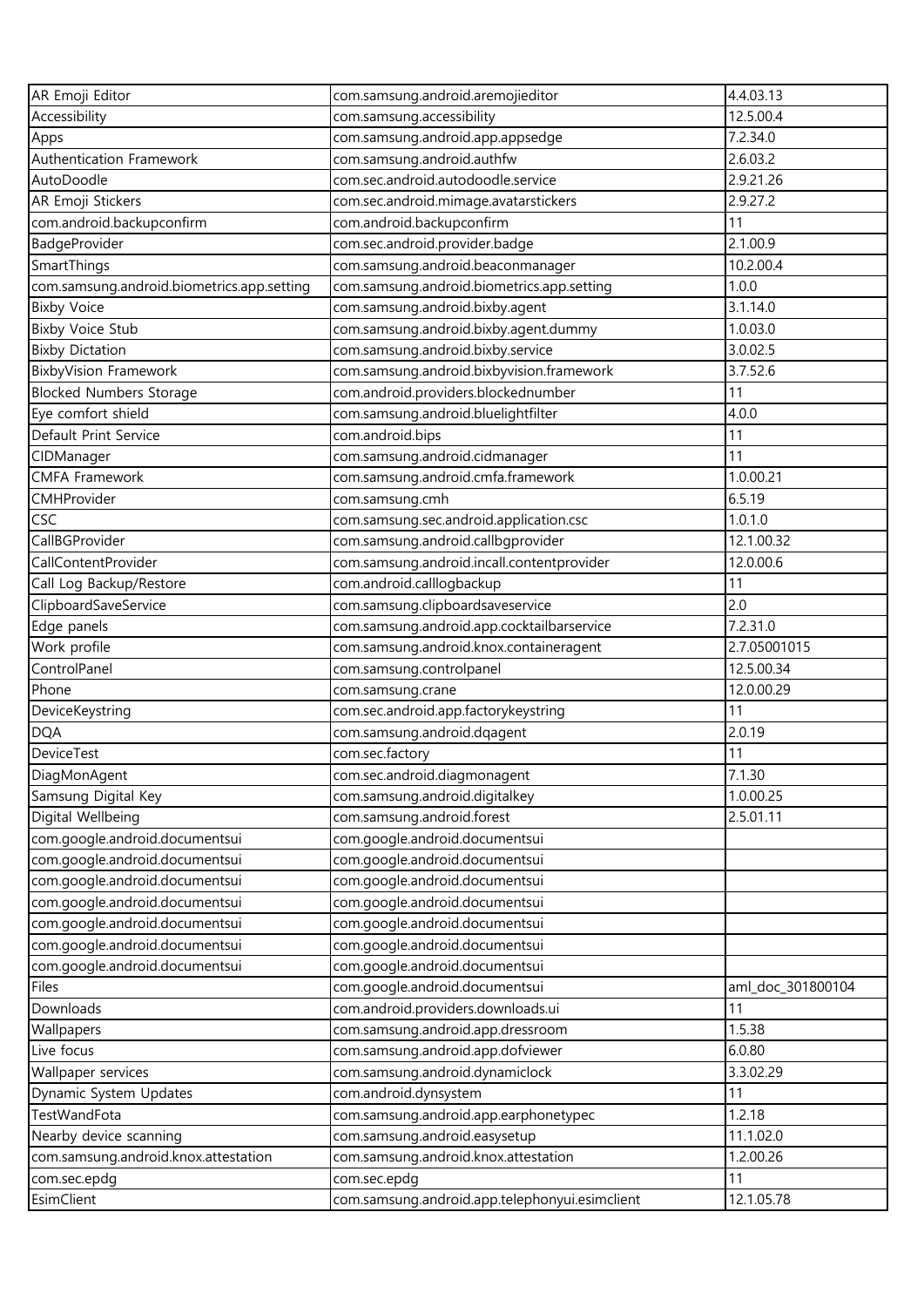| AR Emoji Editor                            | com.samsung.android.aremojieditor              | 4.4.03.13         |
|--------------------------------------------|------------------------------------------------|-------------------|
| Accessibility                              | com.samsung.accessibility                      | 12.5.00.4         |
| Apps                                       | com.samsung.android.app.appsedge               | 7.2.34.0          |
| Authentication Framework                   | com.samsung.android.authfw                     | 2.6.03.2          |
| AutoDoodle                                 | com.sec.android.autodoodle.service             | 2.9.21.26         |
| AR Emoji Stickers                          | com.sec.android.mimage.avatarstickers          | 2.9.27.2          |
| com.android.backupconfirm                  | com.android.backupconfirm                      | 11                |
| BadgeProvider                              | com.sec.android.provider.badge                 | 2.1.00.9          |
| SmartThings                                | com.samsung.android.beaconmanager              | 10.2.00.4         |
| com.samsung.android.biometrics.app.setting | com.samsung.android.biometrics.app.setting     | 1.0.0             |
| <b>Bixby Voice</b>                         | com.samsung.android.bixby.agent                | 3.1.14.0          |
| <b>Bixby Voice Stub</b>                    | com.samsung.android.bixby.agent.dummy          | 1.0.03.0          |
| <b>Bixby Dictation</b>                     | com.samsung.android.bixby.service              | 3.0.02.5          |
| <b>BixbyVision Framework</b>               | com.samsung.android.bixbyvision.framework      | 3.7.52.6          |
| <b>Blocked Numbers Storage</b>             | com.android.providers.blockednumber            | 11                |
| Eye comfort shield                         | com.samsung.android.bluelightfilter            | 4.0.0             |
| Default Print Service                      | com.android.bips                               | 11                |
| CIDManager                                 | com.samsung.android.cidmanager                 | 11                |
| <b>CMFA Framework</b>                      | com.samsung.android.cmfa.framework             | 1.0.00.21         |
| CMHProvider                                | com.samsung.cmh                                | 6.5.19            |
| CSC                                        | com.samsung.sec.android.application.csc        | 1.0.1.0           |
| CallBGProvider                             | com.samsung.android.callbgprovider             | 12.1.00.32        |
| CallContentProvider                        | com.samsung.android.incall.contentprovider     | 12.0.00.6         |
| Call Log Backup/Restore                    | com.android.calllogbackup                      | 11                |
| ClipboardSaveService                       | com.samsung.clipboardsaveservice               | 2.0               |
| Edge panels                                | com.samsung.android.app.cocktailbarservice     | 7.2.31.0          |
| Work profile                               | com.samsung.android.knox.containeragent        | 2.7.05001015      |
| ControlPanel                               | com.samsung.controlpanel                       | 12.5.00.34        |
| Phone                                      | com.samsung.crane                              | 12.0.00.29        |
| DeviceKeystring                            | com.sec.android.app.factorykeystring           | 11                |
| <b>DQA</b>                                 | com.samsung.android.dqagent                    | 2.0.19            |
| <b>DeviceTest</b>                          | com.sec.factory                                | 11                |
| DiagMonAgent                               | com.sec.android.diagmonagent                   | 7.1.30            |
| Samsung Digital Key                        | com.samsung.android.digitalkey                 | 1.0.00.25         |
| Digital Wellbeing                          | com.samsung.android.forest                     | 2.5.01.11         |
| com.google.android.documentsui             | com.google.android.documentsui                 |                   |
| com.google.android.documentsui             | com.google.android.documentsui                 |                   |
| com.google.android.documentsui             | com.google.android.documentsui                 |                   |
| com.google.android.documentsui             | com.google.android.documentsui                 |                   |
| com.google.android.documentsui             | com.google.android.documentsui                 |                   |
| com.google.android.documentsui             | com.google.android.documentsui                 |                   |
| com.google.android.documentsui             | com.google.android.documentsui                 |                   |
| Files                                      | com.google.android.documentsui                 | aml_doc_301800104 |
| Downloads                                  | com.android.providers.downloads.ui             | 11                |
| Wallpapers                                 | com.samsung.android.app.dressroom              | 1.5.38            |
| Live focus                                 | com.samsung.android.app.dofviewer              | 6.0.80            |
| Wallpaper services                         | com.samsung.android.dynamiclock                | 3.3.02.29         |
| Dynamic System Updates                     | com.android.dynsystem                          | 11                |
| <b>TestWandFota</b>                        | com.samsung.android.app.earphonetypec          | 1.2.18            |
| Nearby device scanning                     | com.samsung.android.easysetup                  | 11.1.02.0         |
| com.samsung.android.knox.attestation       | com.samsung.android.knox.attestation           | 1.2.00.26         |
| com.sec.epdg                               | com.sec.epdg                                   | 11                |
| EsimClient                                 | com.samsung.android.app.telephonyui.esimclient | 12.1.05.78        |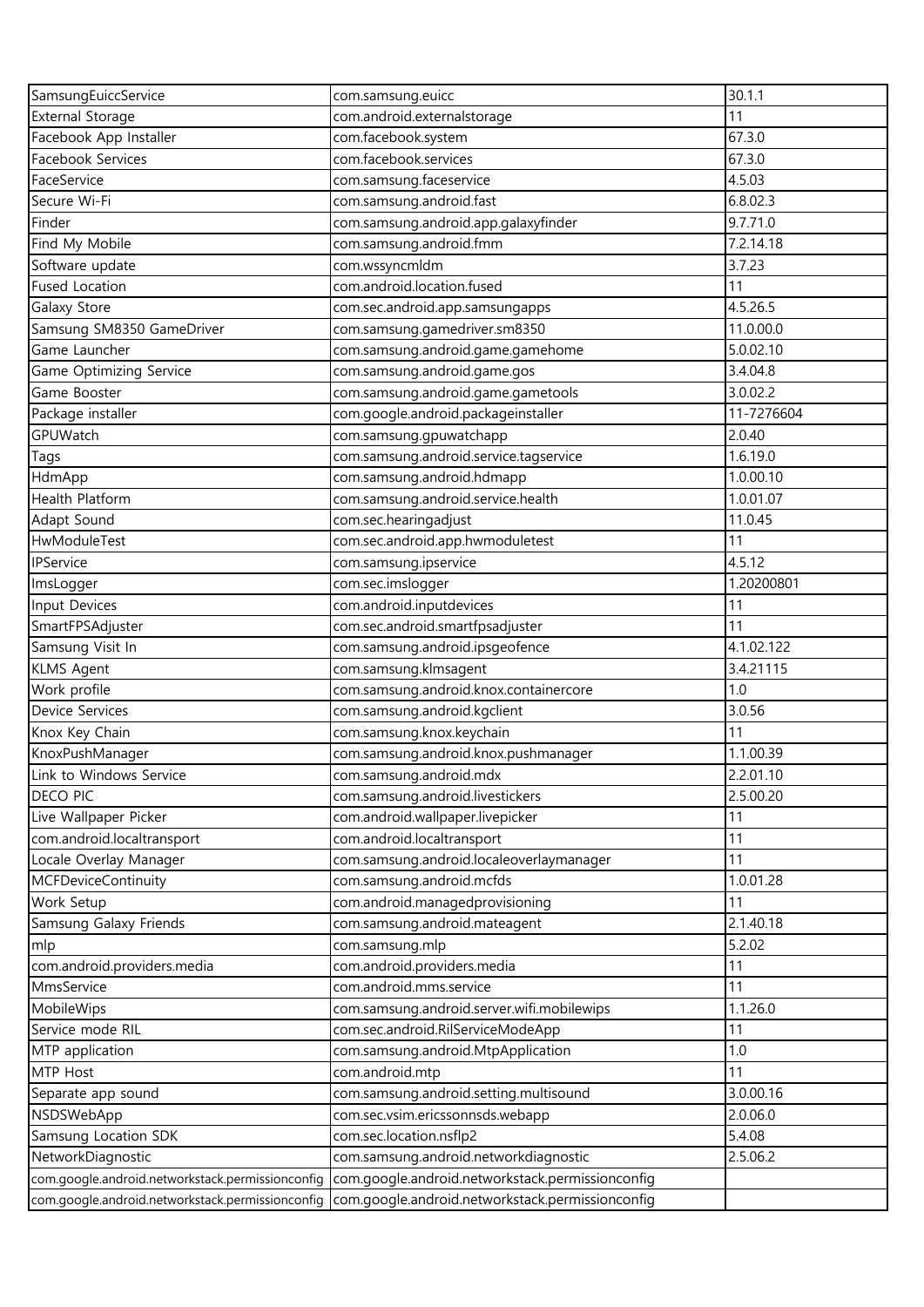| SamsungEuiccService                              | com.samsung.euicc                                | 30.1.1     |
|--------------------------------------------------|--------------------------------------------------|------------|
| <b>External Storage</b>                          | com.android.externalstorage                      | 11         |
| Facebook App Installer                           | com.facebook.system                              | 67.3.0     |
| Facebook Services                                | com.facebook.services                            | 67.3.0     |
| FaceService                                      | com.samsung.faceservice                          | 4.5.03     |
| Secure Wi-Fi                                     | com.samsung.android.fast                         | 6.8.02.3   |
| Finder                                           | com.samsung.android.app.galaxyfinder             | 9.7.71.0   |
| Find My Mobile                                   | com.samsung.android.fmm                          | 7.2.14.18  |
| Software update                                  | com.wssyncmldm                                   | 3.7.23     |
| <b>Fused Location</b>                            | com.android.location.fused                       | 11         |
| Galaxy Store                                     | com.sec.android.app.samsungapps                  | 4.5.26.5   |
| Samsung SM8350 GameDriver                        | com.samsung.gamedriver.sm8350                    | 11.0.00.0  |
| Game Launcher                                    | com.samsung.android.game.gamehome                | 5.0.02.10  |
| Game Optimizing Service                          | com.samsung.android.game.gos                     | 3.4.04.8   |
| Game Booster                                     | com.samsung.android.game.gametools               | 3.0.02.2   |
| Package installer                                | com.google.android.packageinstaller              | 11-7276604 |
| GPUWatch                                         | com.samsung.gpuwatchapp                          | 2.0.40     |
| Tags                                             | com.samsung.android.service.tagservice           | 1.6.19.0   |
| HdmApp                                           | com.samsung.android.hdmapp                       | 1.0.00.10  |
| Health Platform                                  | com.samsung.android.service.health               | 1.0.01.07  |
| Adapt Sound                                      | com.sec.hearingadjust                            | 11.0.45    |
| HwModuleTest                                     | com.sec.android.app.hwmoduletest                 | 11         |
| IPService                                        | com.samsung.ipservice                            | 4.5.12     |
| ImsLogger                                        | com.sec.imslogger                                | 1.20200801 |
| Input Devices                                    | com.android.inputdevices                         | 11         |
| SmartFPSAdjuster                                 | com.sec.android.smartfpsadjuster                 | 11         |
| Samsung Visit In                                 | com.samsung.android.ipsgeofence                  | 4.1.02.122 |
| <b>KLMS Agent</b>                                | com.samsung.klmsagent                            | 3.4.21115  |
| Work profile                                     | com.samsung.android.knox.containercore           | 1.0        |
| Device Services                                  | com.samsung.android.kgclient                     | 3.0.56     |
| Knox Key Chain                                   | com.samsung.knox.keychain                        | 11         |
| KnoxPushManager                                  | com.samsung.android.knox.pushmanager             | 1.1.00.39  |
| Link to Windows Service                          | com.samsung.android.mdx                          | 2.2.01.10  |
| <b>DECO PIC</b>                                  | com.samsung.android.livestickers                 | 2.5.00.20  |
| Live Wallpaper Picker                            | com.android.wallpaper.livepicker                 | 11         |
| com.android.localtransport                       | com.android.localtransport                       | 11         |
| Locale Overlay Manager                           | com.samsung.android.localeoverlaymanager         | 11         |
| <b>MCFDeviceContinuity</b>                       | com.samsung.android.mcfds                        | 1.0.01.28  |
| Work Setup                                       | com.android.managedprovisioning                  | 11         |
| Samsung Galaxy Friends                           | com.samsung.android.mateagent                    | 2.1.40.18  |
| mlp                                              | com.samsung.mlp                                  | 5.2.02     |
| com.android.providers.media                      | com.android.providers.media                      | 11         |
| MmsService                                       | com.android.mms.service                          | 11         |
| MobileWips                                       | com.samsung.android.server.wifi.mobilewips       | 1.1.26.0   |
| Service mode RIL                                 | com.sec.android.RilServiceModeApp                | 11         |
| MTP application                                  | com.samsung.android.MtpApplication               | 1.0        |
| MTP Host                                         | com.android.mtp                                  | 11         |
| Separate app sound                               | com.samsung.android.setting.multisound           | 3.0.00.16  |
| NSDSWebApp                                       | com.sec.vsim.ericssonnsds.webapp                 | 2.0.06.0   |
| Samsung Location SDK                             | com.sec.location.nsflp2                          | 5.4.08     |
| NetworkDiagnostic                                | com.samsung.android.networkdiagnostic            | 2.5.06.2   |
| com.google.android.networkstack.permissionconfig | com.google.android.networkstack.permissionconfig |            |
| com.google.android.networkstack.permissionconfig | com.google.android.networkstack.permissionconfig |            |
|                                                  |                                                  |            |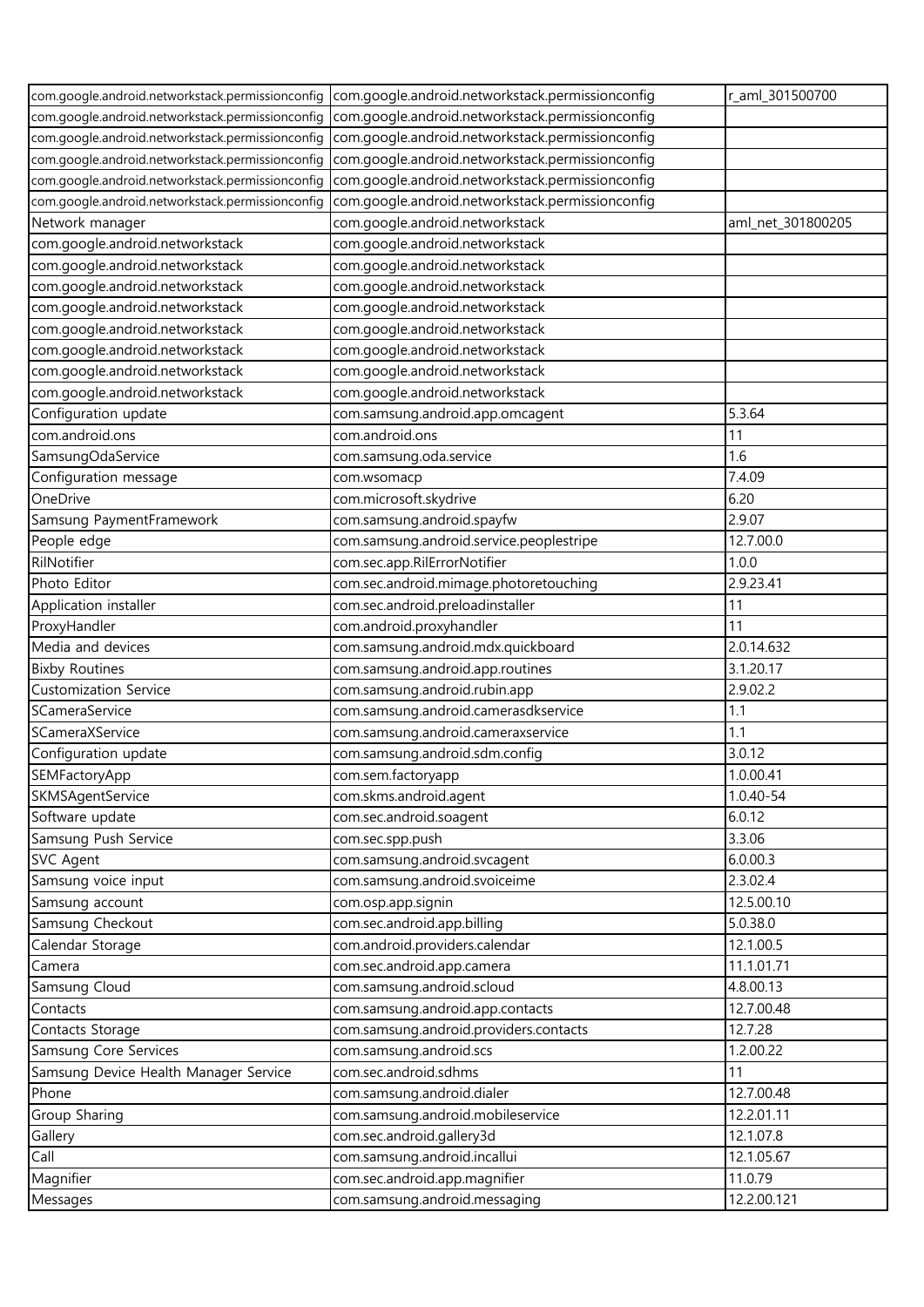|                                                  | com.google.android.networkstack.permissionconfig com.google.android.networkstack.permissionconfig | r_aml_301500700   |
|--------------------------------------------------|---------------------------------------------------------------------------------------------------|-------------------|
| com.google.android.networkstack.permissionconfig | com.google.android.networkstack.permissionconfig                                                  |                   |
| com.google.android.networkstack.permissionconfig | com.google.android.networkstack.permissionconfig                                                  |                   |
| com.google.android.networkstack.permissionconfig | com.google.android.networkstack.permissionconfig                                                  |                   |
| com.google.android.networkstack.permissionconfig | com.google.android.networkstack.permissionconfig                                                  |                   |
| com.google.android.networkstack.permissionconfig | com.google.android.networkstack.permissionconfig                                                  |                   |
| Network manager                                  | com.google.android.networkstack                                                                   | aml_net_301800205 |
| com.google.android.networkstack                  | com.google.android.networkstack                                                                   |                   |
| com.google.android.networkstack                  | com.google.android.networkstack                                                                   |                   |
| com.google.android.networkstack                  | com.google.android.networkstack                                                                   |                   |
| com.google.android.networkstack                  | com.google.android.networkstack                                                                   |                   |
| com.google.android.networkstack                  | com.google.android.networkstack                                                                   |                   |
| com.google.android.networkstack                  | com.google.android.networkstack                                                                   |                   |
| com.google.android.networkstack                  | com.google.android.networkstack                                                                   |                   |
| com.google.android.networkstack                  | com.google.android.networkstack                                                                   |                   |
| Configuration update                             | com.samsung.android.app.omcagent                                                                  | 5.3.64            |
| com.android.ons                                  | com.android.ons                                                                                   | 11                |
| SamsungOdaService                                | com.samsung.oda.service                                                                           | 1.6               |
| Configuration message                            | com.wsomacp                                                                                       | 7.4.09            |
| OneDrive                                         | com.microsoft.skydrive                                                                            | 6.20              |
| Samsung PaymentFramework                         | com.samsung.android.spayfw                                                                        | 2.9.07            |
| People edge                                      | com.samsung.android.service.peoplestripe                                                          | 12.7.00.0         |
| RilNotifier                                      | com.sec.app.RilErrorNotifier                                                                      | 1.0.0             |
| Photo Editor                                     | com.sec.android.mimage.photoretouching                                                            | 2.9.23.41         |
| Application installer                            | com.sec.android.preloadinstaller                                                                  | 11                |
| ProxyHandler                                     | com.android.proxyhandler                                                                          | 11                |
| Media and devices                                | com.samsung.android.mdx.quickboard                                                                | 2.0.14.632        |
| <b>Bixby Routines</b>                            | com.samsung.android.app.routines                                                                  | 3.1.20.17         |
| <b>Customization Service</b>                     | com.samsung.android.rubin.app                                                                     | 2.9.02.2          |
| SCameraService                                   | com.samsung.android.camerasdkservice                                                              | 1.1               |
| SCameraXService                                  | com.samsung.android.cameraxservice                                                                | 1.1               |
| Configuration update                             | com.samsung.android.sdm.config                                                                    | 3.0.12            |
| SEMFactoryApp                                    | com.sem.factoryapp                                                                                | 1.0.00.41         |
| SKMSAgentService                                 | com.skms.android.agent                                                                            | 1.0.40-54         |
| Software update                                  | com.sec.android.soagent                                                                           | 6.0.12            |
| Samsung Push Service                             | com.sec.spp.push                                                                                  | 3.3.06            |
| <b>SVC Agent</b>                                 | com.samsung.android.svcagent                                                                      | 6.0.00.3          |
| Samsung voice input                              | com.samsung.android.svoiceime                                                                     | 2.3.02.4          |
| Samsung account                                  | com.osp.app.signin                                                                                | 12.5.00.10        |
| Samsung Checkout                                 | com.sec.android.app.billing                                                                       | 5.0.38.0          |
| Calendar Storage                                 | com.android.providers.calendar                                                                    | 12.1.00.5         |
| Camera                                           | com.sec.android.app.camera                                                                        | 11.1.01.71        |
| Samsung Cloud                                    | com.samsung.android.scloud                                                                        | 4.8.00.13         |
| Contacts                                         | com.samsung.android.app.contacts                                                                  | 12.7.00.48        |
| Contacts Storage                                 | com.samsung.android.providers.contacts                                                            | 12.7.28           |
| Samsung Core Services                            | com.samsung.android.scs                                                                           | 1.2.00.22         |
| Samsung Device Health Manager Service            | com.sec.android.sdhms                                                                             | 11                |
| Phone                                            | com.samsung.android.dialer                                                                        | 12.7.00.48        |
| Group Sharing                                    | com.samsung.android.mobileservice                                                                 | 12.2.01.11        |
| Gallery                                          | com.sec.android.gallery3d                                                                         | 12.1.07.8         |
| Call                                             | com.samsung.android.incallui                                                                      | 12.1.05.67        |
| Magnifier                                        | com.sec.android.app.magnifier                                                                     | 11.0.79           |
| Messages                                         | com.samsung.android.messaging                                                                     | 12.2.00.121       |
|                                                  |                                                                                                   |                   |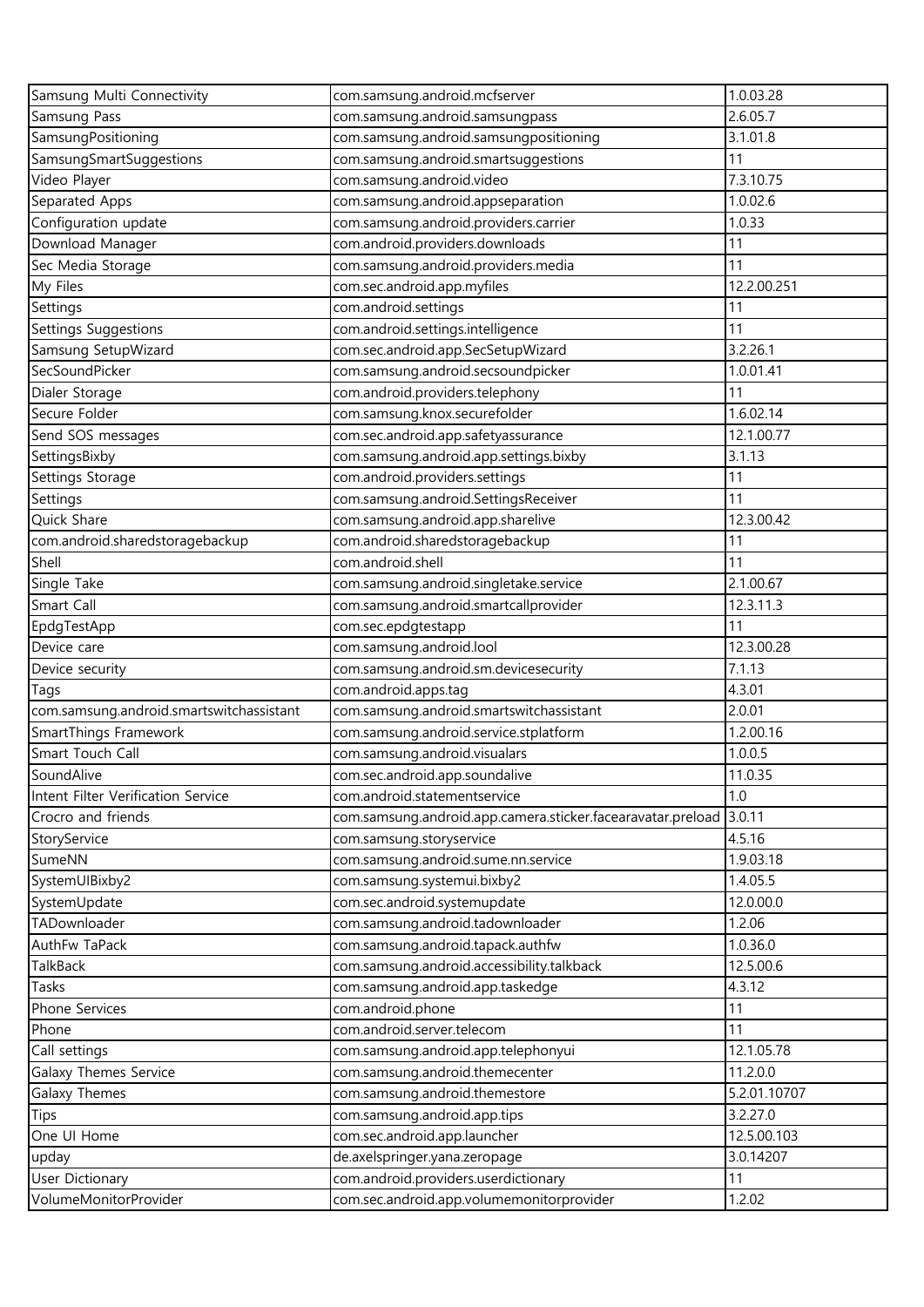| Samsung Multi Connectivity               | com.samsung.android.mcfserver                                  | 1.0.03.28    |
|------------------------------------------|----------------------------------------------------------------|--------------|
| Samsung Pass                             | com.samsung.android.samsungpass                                | 2.6.05.7     |
| SamsungPositioning                       | com.samsung.android.samsungpositioning                         | 3.1.01.8     |
| SamsungSmartSuggestions                  | com.samsung.android.smartsuggestions                           | 11           |
| Video Player                             | com.samsung.android.video                                      | 7.3.10.75    |
| Separated Apps                           | com.samsung.android.appseparation                              | 1.0.02.6     |
| Configuration update                     | com.samsung.android.providers.carrier                          | 1.0.33       |
| Download Manager                         | com.android.providers.downloads                                | 11           |
| Sec Media Storage                        | com.samsung.android.providers.media                            | 11           |
| My Files                                 | com.sec.android.app.myfiles                                    | 12.2.00.251  |
| Settings                                 | com.android.settings                                           | 11           |
| Settings Suggestions                     | com.android.settings.intelligence                              | 11           |
| Samsung SetupWizard                      | com.sec.android.app.SecSetupWizard                             | 3.2.26.1     |
| SecSoundPicker                           | com.samsung.android.secsoundpicker                             | 1.0.01.41    |
| Dialer Storage                           | com.android.providers.telephony                                | 11           |
| Secure Folder                            | com.samsung.knox.securefolder                                  | 1.6.02.14    |
| Send SOS messages                        | com.sec.android.app.safetyassurance                            | 12.1.00.77   |
| SettingsBixby                            | com.samsung.android.app.settings.bixby                         | 3.1.13       |
| Settings Storage                         | com.android.providers.settings                                 | 11           |
| Settings                                 | com.samsung.android.SettingsReceiver                           | 11           |
| Quick Share                              | com.samsung.android.app.sharelive                              | 12.3.00.42   |
| com.android.sharedstoragebackup          | com.android.sharedstoragebackup                                | 11           |
| Shell                                    | com.android.shell                                              | 11           |
| Single Take                              | com.samsung.android.singletake.service                         | 2.1.00.67    |
| Smart Call                               | com.samsung.android.smartcallprovider                          | 12.3.11.3    |
| EpdgTestApp                              | com.sec.epdgtestapp                                            | 11           |
| Device care                              | com.samsung.android.lool                                       | 12.3.00.28   |
| Device security                          | com.samsung.android.sm.devicesecurity                          | 7.1.13       |
| Tags                                     | com.android.apps.tag                                           | 4.3.01       |
| com.samsung.android.smartswitchassistant | com.samsung.android.smartswitchassistant                       | 2.0.01       |
| SmartThings Framework                    | com.samsung.android.service.stplatform                         | 1.2.00.16    |
| Smart Touch Call                         | com.samsung.android.visualars                                  | 1.0.0.5      |
| SoundAlive                               | com.sec.android.app.soundalive                                 | 11.0.35      |
| Intent Filter Verification Service       | com.android.statementservice                                   | 1.0          |
| Crocro and friends                       | com.samsung.android.app.camera.sticker.facearavatar.preload    | 3.0.11       |
| StoryService                             | com.samsung.storyservice                                       | 4.5.16       |
| SumeNN                                   | com.samsung.android.sume.nn.service                            | 1.9.03.18    |
| SystemUIBixby2                           | com.samsung.systemui.bixby2                                    | 1.4.05.5     |
| SystemUpdate                             | com.sec.android.systemupdate                                   | 12.0.00.0    |
| TADownloader                             | com.samsung.android.tadownloader                               | 1.2.06       |
| AuthFw TaPack                            | com.samsung.android.tapack.authfw                              | 1.0.36.0     |
| TalkBack                                 | com.samsung.android.accessibility.talkback                     | 12.5.00.6    |
| Tasks                                    | com.samsung.android.app.taskedge                               | 4.3.12       |
| Phone Services                           | com.android.phone                                              | 11           |
| Phone                                    | com.android.server.telecom                                     | 11           |
| Call settings                            |                                                                | 12.1.05.78   |
|                                          | com.samsung.android.app.telephonyui                            | 11.2.0.0     |
| Galaxy Themes Service                    | com.samsung.android.themecenter                                | 5.2.01.10707 |
| Galaxy Themes                            | com.samsung.android.themestore<br>com.samsung.android.app.tips | 3.2.27.0     |
| Tips                                     |                                                                |              |
| One UI Home                              | com.sec.android.app.launcher                                   | 12.5.00.103  |
| upday                                    | de.axelspringer.yana.zeropage                                  | 3.0.14207    |
| <b>User Dictionary</b>                   | com.android.providers.userdictionary                           | 11           |
| VolumeMonitorProvider                    | com.sec.android.app.volumemonitorprovider                      | 1.2.02       |